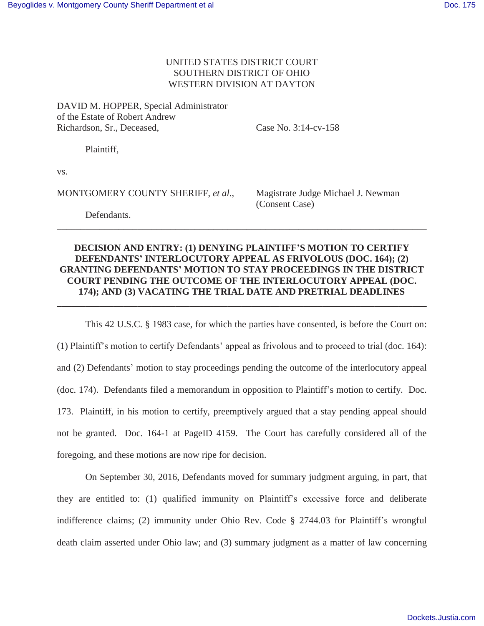## UNITED STATES DISTRICT COURT SOUTHERN DISTRICT OF OHIO WESTERN DIVISION AT DAYTON

DAVID M. HOPPER, Special Administrator of the Estate of Robert Andrew Richardson, Sr., Deceased, Case No. 3:14-cv-158

Plaintiff,

vs.

MONTGOMERY COUNTY SHERIFF, *et al*., Magistrate Judge Michael J. Newman

(Consent Case)

 Defendants. \_\_\_\_\_\_\_\_\_\_\_\_\_\_\_\_\_\_\_\_\_\_\_\_\_\_\_\_\_\_\_\_\_\_\_\_\_\_\_\_\_\_\_\_\_\_\_\_\_\_\_\_\_\_\_\_\_\_\_\_\_\_\_\_\_\_\_\_\_\_\_\_\_\_\_\_\_\_

## **DECISION AND ENTRY: (1) DENYING PLAINTIFF'S MOTION TO CERTIFY DEFENDANTS' INTERLOCUTORY APPEAL AS FRIVOLOUS (DOC. 164); (2) GRANTING DEFENDANTS' MOTION TO STAY PROCEEDINGS IN THE DISTRICT COURT PENDING THE OUTCOME OF THE INTERLOCUTORY APPEAL (DOC. 174); AND (3) VACATING THE TRIAL DATE AND PRETRIAL DEADLINES \_\_\_\_\_\_\_\_\_\_\_\_\_\_\_\_\_\_\_\_\_\_\_\_\_\_\_\_\_\_\_\_\_\_\_\_\_\_\_\_\_\_\_\_\_\_\_\_\_\_\_\_\_\_\_\_\_\_\_\_\_\_\_\_\_\_\_\_\_\_\_\_\_\_\_\_\_\_**

This 42 U.S.C. § 1983 case, for which the parties have consented, is before the Court on: (1) Plaintiff's motion to certify Defendants' appeal as frivolous and to proceed to trial (doc. 164): and (2) Defendants' motion to stay proceedings pending the outcome of the interlocutory appeal (doc. 174). Defendants filed a memorandum in opposition to Plaintiff's motion to certify. Doc. 173. Plaintiff, in his motion to certify, preemptively argued that a stay pending appeal should not be granted. Doc. 164-1 at PageID 4159. The Court has carefully considered all of the foregoing, and these motions are now ripe for decision.

On September 30, 2016, Defendants moved for summary judgment arguing, in part, that they are entitled to: (1) qualified immunity on Plaintiff's excessive force and deliberate indifference claims; (2) immunity under Ohio Rev. Code § 2744.03 for Plaintiff's wrongful death claim asserted under Ohio law; and (3) summary judgment as a matter of law concerning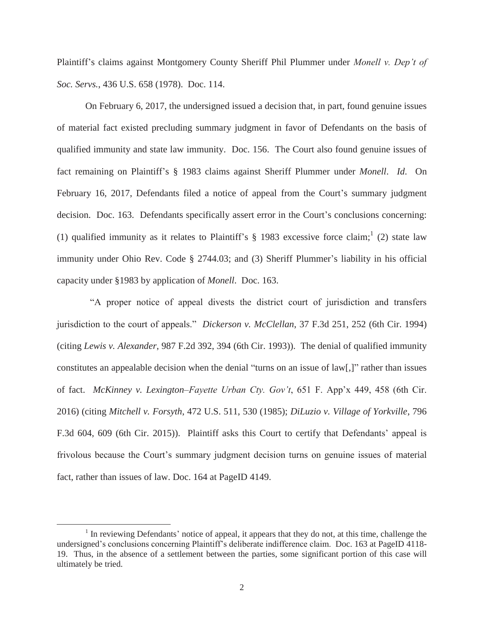Plaintiff's claims against Montgomery County Sheriff Phil Plummer under *Monell v. Dep't of Soc. Servs.*, 436 U.S. 658 (1978). Doc. 114.

On February 6, 2017, the undersigned issued a decision that, in part, found genuine issues of material fact existed precluding summary judgment in favor of Defendants on the basis of qualified immunity and state law immunity. Doc. 156. The Court also found genuine issues of fact remaining on Plaintiff's § 1983 claims against Sheriff Plummer under *Monell*. *Id*. On February 16, 2017, Defendants filed a notice of appeal from the Court's summary judgment decision. Doc. 163. Defendants specifically assert error in the Court's conclusions concerning: (1) qualified immunity as it relates to Plaintiff's  $\S$  1983 excessive force claim;<sup>1</sup> (2) state law immunity under Ohio Rev. Code § 2744.03; and (3) Sheriff Plummer's liability in his official capacity under §1983 by application of *Monell*. Doc. 163.

 "A proper notice of appeal divests the district court of jurisdiction and transfers jurisdiction to the court of appeals." *Dickerson v. McClellan*, 37 F.3d 251, 252 (6th Cir. 1994) (citing *Lewis v. Alexander*, 987 F.2d 392, 394 (6th Cir. 1993)). The denial of qualified immunity constitutes an appealable decision when the denial "turns on an issue of law[,]" rather than issues of fact. *McKinney v. Lexington–Fayette Urban Cty. Gov't*, 651 F. App'x 449, 458 (6th Cir. 2016) (citing *Mitchell v. Forsyth*, 472 U.S. 511, 530 (1985); *DiLuzio v. Village of Yorkville*, 796 F.3d 604, 609 (6th Cir. 2015)). Plaintiff asks this Court to certify that Defendants' appeal is frivolous because the Court's summary judgment decision turns on genuine issues of material fact, rather than issues of law. Doc. 164 at PageID 4149.

 $\overline{a}$ 

<sup>&</sup>lt;sup>1</sup> In reviewing Defendants' notice of appeal, it appears that they do not, at this time, challenge the undersigned's conclusions concerning Plaintiff's deliberate indifference claim. Doc. 163 at PageID 4118- 19. Thus, in the absence of a settlement between the parties, some significant portion of this case will ultimately be tried.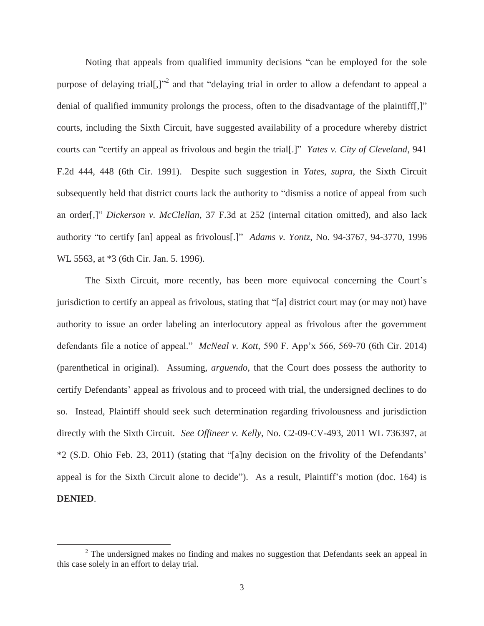Noting that appeals from qualified immunity decisions "can be employed for the sole purpose of delaying trial[,]"<sup>2</sup> and that "delaying trial in order to allow a defendant to appeal a denial of qualified immunity prolongs the process, often to the disadvantage of the plaintiff[,]" courts, including the Sixth Circuit, have suggested availability of a procedure whereby district courts can "certify an appeal as frivolous and begin the trial[.]" *Yates v. City of Cleveland*, 941 F.2d 444, 448 (6th Cir. 1991). Despite such suggestion in *Yates*, *supra*, the Sixth Circuit subsequently held that district courts lack the authority to "dismiss a notice of appeal from such an order[,]" *Dickerson v. McClellan*, 37 F.3d at 252 (internal citation omitted), and also lack authority "to certify [an] appeal as frivolous[.]" *Adams v. Yontz*, No. 94-3767, 94-3770, 1996 WL 5563, at \*3 (6th Cir. Jan. 5. 1996).

The Sixth Circuit, more recently, has been more equivocal concerning the Court's jurisdiction to certify an appeal as frivolous, stating that "[a] district court may (or may not) have authority to issue an order labeling an interlocutory appeal as frivolous after the government defendants file a notice of appeal." *McNeal v. Kott*, 590 F. App'x 566, 569-70 (6th Cir. 2014) (parenthetical in original). Assuming, *arguendo*, that the Court does possess the authority to certify Defendants' appeal as frivolous and to proceed with trial, the undersigned declines to do so. Instead, Plaintiff should seek such determination regarding frivolousness and jurisdiction directly with the Sixth Circuit. *See Offineer v. Kelly*, No. C2-09-CV-493, 2011 WL 736397, at \*2 (S.D. Ohio Feb. 23, 2011) (stating that "[a]ny decision on the frivolity of the Defendants' appeal is for the Sixth Circuit alone to decide"). As a result, Plaintiff's motion (doc. 164) is **DENIED**.

 $\overline{a}$ 

 $2$  The undersigned makes no finding and makes no suggestion that Defendants seek an appeal in this case solely in an effort to delay trial.